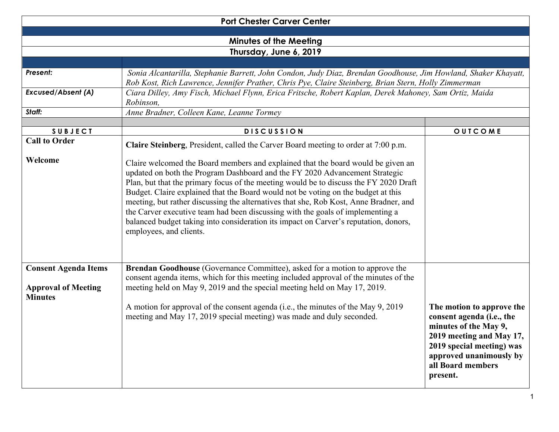|                                                                             | <b>Port Chester Carver Center</b>                                                                                                                                                                                                                                                                                                                                                                                                                                                                                                                                                                                                           |                                                                                                                                                                                          |  |  |
|-----------------------------------------------------------------------------|---------------------------------------------------------------------------------------------------------------------------------------------------------------------------------------------------------------------------------------------------------------------------------------------------------------------------------------------------------------------------------------------------------------------------------------------------------------------------------------------------------------------------------------------------------------------------------------------------------------------------------------------|------------------------------------------------------------------------------------------------------------------------------------------------------------------------------------------|--|--|
|                                                                             |                                                                                                                                                                                                                                                                                                                                                                                                                                                                                                                                                                                                                                             |                                                                                                                                                                                          |  |  |
| <b>Minutes of the Meeting</b>                                               |                                                                                                                                                                                                                                                                                                                                                                                                                                                                                                                                                                                                                                             |                                                                                                                                                                                          |  |  |
| Thursday, June 6, 2019                                                      |                                                                                                                                                                                                                                                                                                                                                                                                                                                                                                                                                                                                                                             |                                                                                                                                                                                          |  |  |
| Present:                                                                    | Sonia Alcantarilla, Stephanie Barrett, John Condon, Judy Diaz, Brendan Goodhouse, Jim Howland, Shaker Khayatt,<br>Rob Kost, Rich Lawrence, Jennifer Prather, Chris Pye, Claire Steinberg, Brian Stern, Holly Zimmerman                                                                                                                                                                                                                                                                                                                                                                                                                      |                                                                                                                                                                                          |  |  |
| <b>Excused/Absent (A)</b>                                                   | Ciara Dilley, Amy Fisch, Michael Flynn, Erica Fritsche, Robert Kaplan, Derek Mahoney, Sam Ortiz, Maida<br>Robinson,                                                                                                                                                                                                                                                                                                                                                                                                                                                                                                                         |                                                                                                                                                                                          |  |  |
| Staff:                                                                      | Anne Bradner, Colleen Kane, Leanne Tormey                                                                                                                                                                                                                                                                                                                                                                                                                                                                                                                                                                                                   |                                                                                                                                                                                          |  |  |
|                                                                             |                                                                                                                                                                                                                                                                                                                                                                                                                                                                                                                                                                                                                                             |                                                                                                                                                                                          |  |  |
| <b>SUBJECT</b>                                                              | <b>DISCUSSION</b>                                                                                                                                                                                                                                                                                                                                                                                                                                                                                                                                                                                                                           | OUTCOME                                                                                                                                                                                  |  |  |
| <b>Call to Order</b>                                                        | Claire Steinberg, President, called the Carver Board meeting to order at 7:00 p.m.                                                                                                                                                                                                                                                                                                                                                                                                                                                                                                                                                          |                                                                                                                                                                                          |  |  |
| Welcome                                                                     | Claire welcomed the Board members and explained that the board would be given an<br>updated on both the Program Dashboard and the FY 2020 Advancement Strategic<br>Plan, but that the primary focus of the meeting would be to discuss the FY 2020 Draft<br>Budget. Claire explained that the Board would not be voting on the budget at this<br>meeting, but rather discussing the alternatives that she, Rob Kost, Anne Bradner, and<br>the Carver executive team had been discussing with the goals of implementing a<br>balanced budget taking into consideration its impact on Carver's reputation, donors,<br>employees, and clients. |                                                                                                                                                                                          |  |  |
| <b>Consent Agenda Items</b><br><b>Approval of Meeting</b><br><b>Minutes</b> | Brendan Goodhouse (Governance Committee), asked for a motion to approve the<br>consent agenda items, which for this meeting included approval of the minutes of the<br>meeting held on May 9, 2019 and the special meeting held on May 17, 2019.<br>A motion for approval of the consent agenda (i.e., the minutes of the May 9, 2019)<br>meeting and May 17, 2019 special meeting) was made and duly seconded.                                                                                                                                                                                                                             | The motion to approve the<br>consent agenda (i.e., the<br>minutes of the May 9,<br>2019 meeting and May 17,<br>2019 special meeting) was<br>approved unanimously by<br>all Board members |  |  |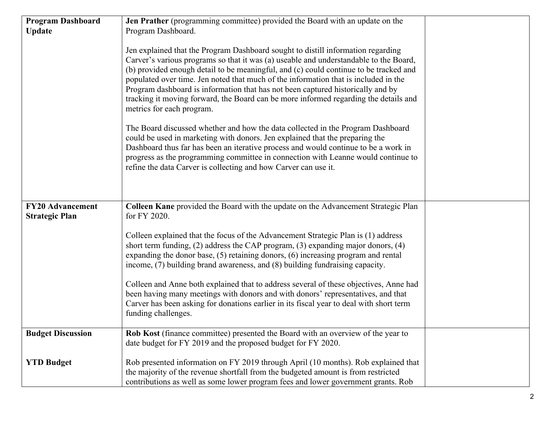| <b>Program Dashboard</b>                         | Jen Prather (programming committee) provided the Board with an update on the                                                                                                                                                                                                                                                                                                                                                                                                                                                                                      |  |
|--------------------------------------------------|-------------------------------------------------------------------------------------------------------------------------------------------------------------------------------------------------------------------------------------------------------------------------------------------------------------------------------------------------------------------------------------------------------------------------------------------------------------------------------------------------------------------------------------------------------------------|--|
| <b>Update</b>                                    | Program Dashboard.                                                                                                                                                                                                                                                                                                                                                                                                                                                                                                                                                |  |
|                                                  |                                                                                                                                                                                                                                                                                                                                                                                                                                                                                                                                                                   |  |
|                                                  | Jen explained that the Program Dashboard sought to distill information regarding<br>Carver's various programs so that it was (a) useable and understandable to the Board,<br>(b) provided enough detail to be meaningful, and (c) could continue to be tracked and<br>populated over time. Jen noted that much of the information that is included in the<br>Program dashboard is information that has not been captured historically and by<br>tracking it moving forward, the Board can be more informed regarding the details and<br>metrics for each program. |  |
|                                                  | The Board discussed whether and how the data collected in the Program Dashboard<br>could be used in marketing with donors. Jen explained that the preparing the<br>Dashboard thus far has been an iterative process and would continue to be a work in<br>progress as the programming committee in connection with Leanne would continue to<br>refine the data Carver is collecting and how Carver can use it.                                                                                                                                                    |  |
| <b>FY20 Advancement</b><br><b>Strategic Plan</b> | Colleen Kane provided the Board with the update on the Advancement Strategic Plan<br>for FY 2020.                                                                                                                                                                                                                                                                                                                                                                                                                                                                 |  |
|                                                  | Colleen explained that the focus of the Advancement Strategic Plan is (1) address<br>short term funding, $(2)$ address the CAP program, $(3)$ expanding major donors, $(4)$<br>expanding the donor base, (5) retaining donors, (6) increasing program and rental<br>income, (7) building brand awareness, and (8) building fundraising capacity.<br>Colleen and Anne both explained that to address several of these objectives, Anne had<br>been having many meetings with donors and with donors' representatives, and that                                     |  |
|                                                  | Carver has been asking for donations earlier in its fiscal year to deal with short term<br>funding challenges.                                                                                                                                                                                                                                                                                                                                                                                                                                                    |  |
| <b>Budget Discussion</b>                         | <b>Rob Kost</b> (finance committee) presented the Board with an overview of the year to<br>date budget for FY 2019 and the proposed budget for FY 2020.                                                                                                                                                                                                                                                                                                                                                                                                           |  |
| <b>YTD Budget</b>                                | Rob presented information on FY 2019 through April (10 months). Rob explained that<br>the majority of the revenue shortfall from the budgeted amount is from restricted<br>contributions as well as some lower program fees and lower government grants. Rob                                                                                                                                                                                                                                                                                                      |  |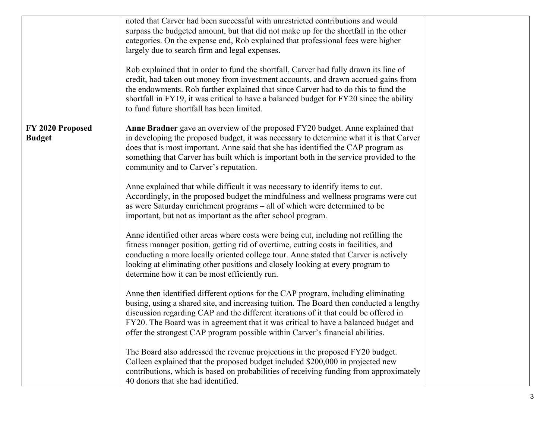|                                   | noted that Carver had been successful with unrestricted contributions and would<br>surpass the budgeted amount, but that did not make up for the shortfall in the other<br>categories. On the expense end, Rob explained that professional fees were higher<br>largely due to search firm and legal expenses.<br>Rob explained that in order to fund the shortfall, Carver had fully drawn its line of                                       |  |
|-----------------------------------|----------------------------------------------------------------------------------------------------------------------------------------------------------------------------------------------------------------------------------------------------------------------------------------------------------------------------------------------------------------------------------------------------------------------------------------------|--|
|                                   | credit, had taken out money from investment accounts, and drawn accrued gains from<br>the endowments. Rob further explained that since Carver had to do this to fund the<br>shortfall in FY19, it was critical to have a balanced budget for FY20 since the ability<br>to fund future shortfall has been limited.                                                                                                                            |  |
| FY 2020 Proposed<br><b>Budget</b> | Anne Bradner gave an overview of the proposed FY20 budget. Anne explained that<br>in developing the proposed budget, it was necessary to determine what it is that Carver<br>does that is most important. Anne said that she has identified the CAP program as<br>something that Carver has built which is important both in the service provided to the<br>community and to Carver's reputation.                                            |  |
|                                   | Anne explained that while difficult it was necessary to identify items to cut.<br>Accordingly, in the proposed budget the mindfulness and wellness programs were cut<br>as were Saturday enrichment programs – all of which were determined to be<br>important, but not as important as the after school program.                                                                                                                            |  |
|                                   | Anne identified other areas where costs were being cut, including not refilling the<br>fitness manager position, getting rid of overtime, cutting costs in facilities, and<br>conducting a more locally oriented college tour. Anne stated that Carver is actively<br>looking at eliminating other positions and closely looking at every program to<br>determine how it can be most efficiently run.                                        |  |
|                                   | Anne then identified different options for the CAP program, including eliminating<br>busing, using a shared site, and increasing tuition. The Board then conducted a lengthy<br>discussion regarding CAP and the different iterations of it that could be offered in<br>FY20. The Board was in agreement that it was critical to have a balanced budget and<br>offer the strongest CAP program possible within Carver's financial abilities. |  |
|                                   | The Board also addressed the revenue projections in the proposed FY20 budget.<br>Colleen explained that the proposed budget included \$200,000 in projected new<br>contributions, which is based on probabilities of receiving funding from approximately<br>40 donors that she had identified.                                                                                                                                              |  |